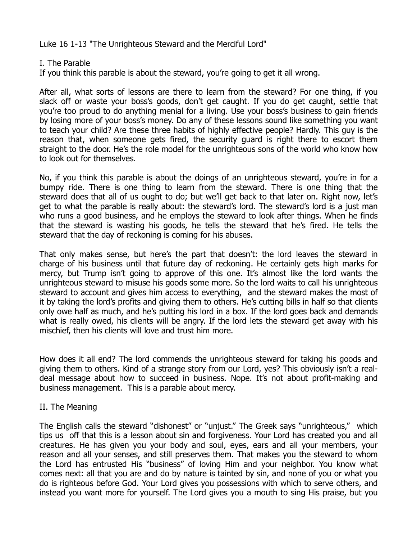Luke 16 1-13 "The Unrighteous Steward and the Merciful Lord"

## I. The Parable

If you think this parable is about the steward, you're going to get it all wrong.

After all, what sorts of lessons are there to learn from the steward? For one thing, if you slack off or waste your boss's goods, don't get caught. If you do get caught, settle that you're too proud to do anything menial for a living. Use your boss's business to gain friends by losing more of your boss's money. Do any of these lessons sound like something you want to teach your child? Are these three habits of highly effective people? Hardly. This guy is the reason that, when someone gets fired, the security guard is right there to escort them straight to the door. He's the role model for the unrighteous sons of the world who know how to look out for themselves.

No, if you think this parable is about the doings of an unrighteous steward, you're in for a bumpy ride. There is one thing to learn from the steward. There is one thing that the steward does that all of us ought to do; but we'll get back to that later on. Right now, let's get to what the parable is really about: the steward's lord. The steward's lord is a just man who runs a good business, and he employs the steward to look after things. When he finds that the steward is wasting his goods, he tells the steward that he's fired. He tells the steward that the day of reckoning is coming for his abuses.

That only makes sense, but here's the part that doesn't: the lord leaves the steward in charge of his business until that future day of reckoning. He certainly gets high marks for mercy, but Trump isn't going to approve of this one. It's almost like the lord wants the unrighteous steward to misuse his goods some more. So the lord waits to call his unrighteous steward to account and gives him access to everything, and the steward makes the most of it by taking the lord's profits and giving them to others. He's cutting bills in half so that clients only owe half as much, and he's putting his lord in a box. If the lord goes back and demands what is really owed, his clients will be angry. If the lord lets the steward get away with his mischief, then his clients will love and trust him more.

How does it all end? The lord commends the unrighteous steward for taking his goods and giving them to others. Kind of a strange story from our Lord, yes? This obviously isn't a realdeal message about how to succeed in business. Nope. It's not about profit-making and business management. This is a parable about mercy.

## II. The Meaning

The English calls the steward "dishonest" or "unjust." The Greek says "unrighteous," which tips us off that this is a lesson about sin and forgiveness. Your Lord has created you and all creatures. He has given you your body and soul, eyes, ears and all your members, your reason and all your senses, and still preserves them. That makes you the steward to whom the Lord has entrusted His "business" of loving Him and your neighbor. You know what comes next: all that you are and do by nature is tainted by sin, and none of you or what you do is righteous before God. Your Lord gives you possessions with which to serve others, and instead you want more for yourself. The Lord gives you a mouth to sing His praise, but you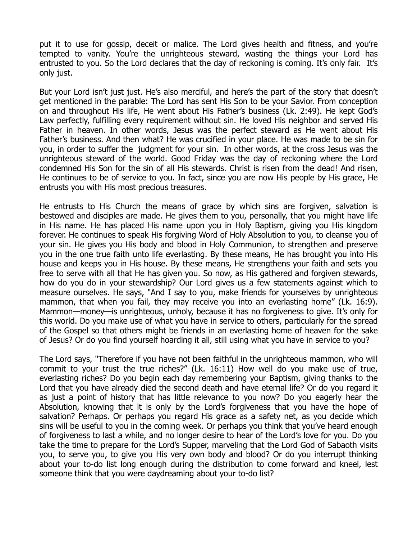put it to use for gossip, deceit or malice. The Lord gives health and fitness, and you're tempted to vanity. You're the unrighteous steward, wasting the things your Lord has entrusted to you. So the Lord declares that the day of reckoning is coming. It's only fair. It's only just.

But your Lord isn't just just. He's also merciful, and here's the part of the story that doesn't get mentioned in the parable: The Lord has sent His Son to be your Savior. From conception on and throughout His life, He went about His Father's business (Lk. 2:49). He kept God's Law perfectly, fulfilling every requirement without sin. He loved His neighbor and served His Father in heaven. In other words, Jesus was the perfect steward as He went about His Father's business. And then what? He was crucified in your place. He was made to be sin for you, in order to suffer the judgment for your sin. In other words, at the cross Jesus was the unrighteous steward of the world. Good Friday was the day of reckoning where the Lord condemned His Son for the sin of all His stewards. Christ is risen from the dead! And risen, He continues to be of service to you. In fact, since you are now His people by His grace, He entrusts you with His most precious treasures.

He entrusts to His Church the means of grace by which sins are forgiven, salvation is bestowed and disciples are made. He gives them to you, personally, that you might have life in His name. He has placed His name upon you in Holy Baptism, giving you His kingdom forever. He continues to speak His forgiving Word of Holy Absolution to you, to cleanse you of your sin. He gives you His body and blood in Holy Communion, to strengthen and preserve you in the one true faith unto life everlasting. By these means, He has brought you into His house and keeps you in His house. By these means, He strengthens your faith and sets you free to serve with all that He has given you. So now, as His gathered and forgiven stewards, how do you do in your stewardship? Our Lord gives us a few statements against which to measure ourselves. He says, "And I say to you, make friends for yourselves by unrighteous mammon, that when you fail, they may receive you into an everlasting home" (Lk. 16:9). Mammon—money—is unrighteous, unholy, because it has no forgiveness to give. It's only for this world. Do you make use of what you have in service to others, particularly for the spread of the Gospel so that others might be friends in an everlasting home of heaven for the sake of Jesus? Or do you find yourself hoarding it all, still using what you have in service to you?

The Lord says, "Therefore if you have not been faithful in the unrighteous mammon, who will commit to your trust the true riches?" (Lk. 16:11) How well do you make use of true, everlasting riches? Do you begin each day remembering your Baptism, giving thanks to the Lord that you have already died the second death and have eternal life? Or do you regard it as just a point of history that has little relevance to you now? Do you eagerly hear the Absolution, knowing that it is only by the Lord's forgiveness that you have the hope of salvation? Perhaps. Or perhaps you regard His grace as a safety net, as you decide which sins will be useful to you in the coming week. Or perhaps you think that you've heard enough of forgiveness to last a while, and no longer desire to hear of the Lord's love for you. Do you take the time to prepare for the Lord's Supper, marveling that the Lord God of Sabaoth visits you, to serve you, to give you His very own body and blood? Or do you interrupt thinking about your to-do list long enough during the distribution to come forward and kneel, lest someone think that you were daydreaming about your to-do list?